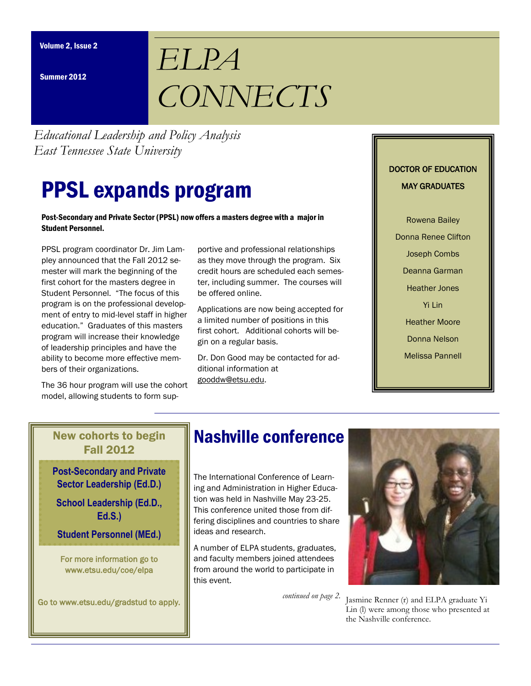Summer 2012

# *ELPA CONNECTS*

*Educational Leadership and Policy Analysis East Tennessee State University*

## PPSL expands program

#### Post-Secondary and Private Sector (PPSL) now offers a masters degree with a major in Student Personnel.

PPSL program coordinator Dr. Jim Lampley announced that the Fall 2012 semester will mark the beginning of the first cohort for the masters degree in Student Personnel. "The focus of this program is on the professional development of entry to mid-level staff in higher education." Graduates of this masters program will increase their knowledge of leadership principles and have the ability to become more effective members of their organizations.

The 36 hour program will use the cohort model, allowing students to form sup-

portive and professional relationships as they move through the program. Six credit hours are scheduled each semester, including summer. The courses will be offered online.

Applications are now being accepted for a limited number of positions in this first cohort. Additional cohorts will begin on a regular basis.

Dr. Don Good may be contacted for additional information at gooddw@etsu.edu.

#### DOCTOR OF EDUCATION MAY GRADUATES

Rowena Bailey Donna Renee Clifton Joseph Combs Deanna Garman Heather Jones Yi Lin Heather Moore Donna Nelson Melissa Pannell

## New cohorts to begin Fall 2012

**Post-Secondary and Private Sector Leadership (Ed.D.)**

**School Leadership (Ed.D., Ed.S.)**

**Student Personnel (MEd.)**

For more information go to www.etsu.edu/coe/elpa

Go to www.etsu.edu/gradstud to apply.

## Nashville conference

The International Conference of Learning and Administration in Higher Education was held in Nashville May 23-25. This conference united those from differing disciplines and countries to share ideas and research.

A number of ELPA students, graduates, and faculty members joined attendees from around the world to participate in this event.

*continued on page 2.*



Jasmine Renner (r) and ELPA graduate Yi Lin (l) were among those who presented at the Nashville conference.